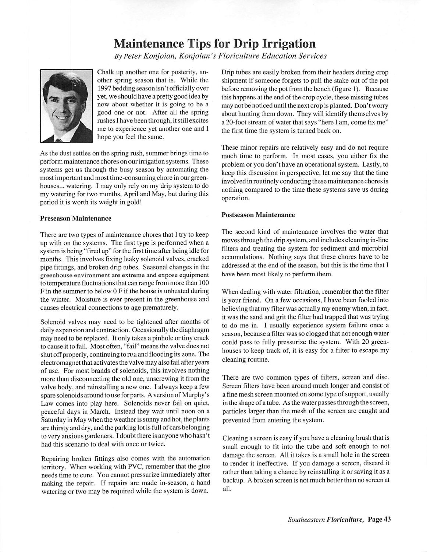# Maintenance Tips for Drip Irrigation

**ByPeter Konjoian, Konjoian 's Floriculture Education Services**



Chalk up another one for posterity, an other spring season that is. While the 1997 bedding season isn't officially over yet, we should have a pretty good idea by now about whether it is going to be a good one or not. After all the spring rushes I have been through, it still excites me to experience yet another one and I hope you feel the same.

As the dust settles on the spring rush, summer brings time to perform maintenance chores on our irrigation systems. These systems get us through the busy season by automating the most important and most time-consuming chore in our green houses... watering. I may only rely on my drip system to do my watering for two months, April and May, but during this period it is worth its weight in gold!

### *Preseason Maintenance*

There are two types of maintenance chores that I try to keep up with on the systems. The first type is performed when a system is being "fired up" for the first time after being idle for months. This involves fixing leaky solenoid valves, cracked pipe fittings, and broken drip tubes. Seasonal changes in the greenhouse environment are extreme and expose equipment to temperature fluctuations that can range from more than 100 F in the summer to below 0 F if the house is unheated during the winter. Moisture is ever present in the greenhouse and causes electrical connections to age prematurely.

Solenoid valves may need to be tightened after months of daily expansion and contraction. Occasionally the diaphragm may need to be replaced. It only takes a pinhole or tiny crack to cause it to fail. Most often, "fail" means the valve does not shut off properly, continuing to run and flooding its zone. The electromagnet that activates the valve may also fail after years of use. For most brands of solenoids, this involves nothing more than disconnecting the old one, unscrewing it from the valve body, and reinstalling a new one. I always keep a few spare solenoids around to use for parts. A version of Murphy's Law comes into play here. Solenoids never fail on quiet, peaceful days in March. Instead they wait until noon on a Saturday in May when the weather is sunny and hot, the plants are thirsty and dry, and the parking lot is full of cars belonging to very anxious gardeners. I doubt there is anyone who hasn't had this scenario to deal with once or twice.

Repairing broken fittings also comes with the automation territory. When working with PVC, remember that the glue needs time to cure. You cannot pressurize immediately after making the repair. If repairs are made in-season, a hand watering or two may be required while the system is down.

Drip tubes are easily broken from their headers during crop shipment if someone forgets to pull the stake out of the pot before removing the pot from the bench (figure 1). Because this happens at the end of the crop cycle, these missing tubes may not be noticed until the next crop is planted. Don't worry about hunting them down. They will identify themselves by a 20-foot stream of water that says "here I am, come fix me" the first time the system is turned back on.

These minor repairs are relatively easy and do not require much time to perform. In most cases, you either fix the problem or you don't have an operational system. Lastly, to keep this discussion in perspective, let me say that the time involved in routinely conducting these maintenance chores is nothing compared to the time these systems save us during operation.

### *Postseason Maintenance*

The second kind of maintenance involves the water that moves through the drip system, and includes cleaning in-line filters and treating the system for sediment and microbial accumulations. Nothing says that these chores have to be addressed at the end of the season, but this is the time that I have been most likely to perform them.

When dealing with water filtration, remember that the filter is your friend. On a few occasions, I have been fooled into believing that my filter was actually my enemy when, in fact, it was the sand and grit the filter had trapped that was trying to do me in. I usually experience system failure once a season, because a filter was so clogged that not enough water could pass to fully pressurize the system. With 20 green houses to keep track of, it is easy for a filter to escape my cleaning routine.

There are two common types of filters, screen and disc. Screen filters have been around much longer and consist of a fine mesh screen mounted on some type of support, usually in the shape of a tube. As the water passes through the screen, particles larger than the mesh of the screen are caught and prevented from entering the system.

Cleaning a screen is easy if you have a cleaning brush that is small enough to fit into the tube and soft enough to not damage the screen. All it takes is a small hole in the screen to render it ineffective. If you damage a screen, discard it rather than taking a chance by reinstalling it or saving it as a backup. A broken screen is not much better than no screen at all.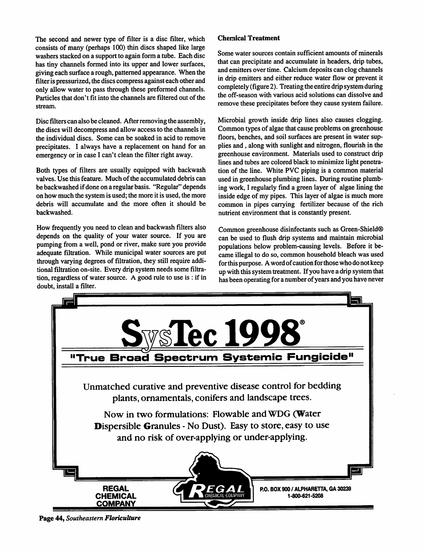The second and newer type of filter is a disc filter, which consists of many (perhaps 100) thin discs shaped like large washers stacked on a support to again form a tube. Each disc has tiny channels formed into its upper and lower surfaces, giving each surface a rough, patterned appearance. When the filter is pressurized, the discs compress against each other and only allow water to pass through these preformed channels. Particles that don't fit into the channels are filtered out of the stream.

Disc filters can also be cleaned. Afterremoving the assembly, the discs will decompress and allow access to the channels in the individual discs. Some can be soaked in acid to remove precipitates. I always have a replacement on hand for an emergency or in case I can't clean the filter right away.

Both types of filters are usually equipped with backwash valves. Use this feature. Much of the accumulated debris can be backwashed ifdone on a regular basis. "Regular" depends on how much the system is used; the more it is used, the more debris will accumulate and the more often it should be backwashed.

How frequently you need to clean and backwash filters also depends on the quality of your water source. If you are pumping from a well, pond or river, make sure you provide adequate filtration. While municipal water sources are put through varying degrees of filtration, they still require addi tional filtration on-site. Every drip system needs some filtra tion, regardless of water source. A good rule to use is : if in doubt, install a filter.

## *Chemical Treatment*

Some water sources contain sufficient amounts of minerals that can precipitate and accumulate in headers, drip tubes, and emitters over time. Calcium deposits can clog channels in drip emitters and either reduce water flow or prevent it completely (figure 2). Treating the entire drip system during the off-season with various acid solutions can dissolve and remove these precipitates before they cause system failure.

Microbial growth inside drip lines also causes clogging. Common types of algae that cause problems on greenhouse floors, benches, and soil surfaces are present in water sup plies and , along with sunlight and nitrogen, flourish in the greenhouse environment. Materials used to construct drip lines and tubes are colored black to minimize light penetra tion of the line. White PVC piping is a common material used in greenhouse plumbing lines. During routine plumb ing work, I regularly find a green layer of algae lining the inside edge of my pipes. This layer of algae is much more common in pipes carrying fertilizer because of the rich nutrient environment that is constantly present.

Common greenhouse disinfectants such as Green-Shield® can be used to flush drip systems and maintain microbial populations below problem-causing levels. Before it be came illegal to do so, common household bleach was used for this purpose. A word of caution for those who do not keep up with this system treatment. If you have a drip system that has been operating for a number of years and you have never



*Page 44,* **Southeastern** *Floriculture*